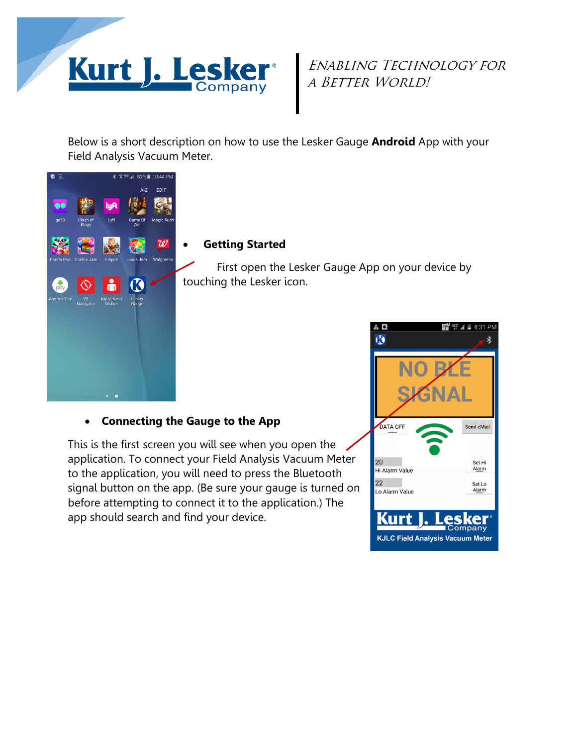

# Enabling Technology for A BETTER WORLD!

Below is a short description on how to use the Lesker Gauge **Android** App with your Field Analysis Vacuum Meter.



## • **Getting Started**

First open the Lesker Gauge App on your device by touching the Lesker icon.

## • **Connecting the Gauge to the App**

This is the first screen you will see when you open the application. To connect your Field Analysis Vacuum Meter to the application, you will need to press the Bluetooth signal button on the app. (Be sure your gauge is turned on before attempting to connect it to the application.) The app should search and find your device.

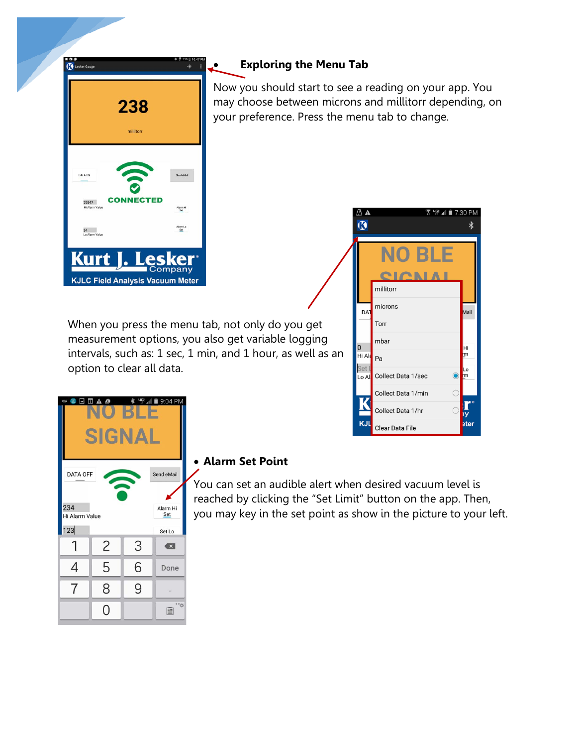

# • **Exploring the Menu Tab**

Now you should start to see a reading on your app. You may choose between microns and millitorr depending, on your preference. Press the menu tab to change.

 $\Delta$  A



**F** 4 7:30 PM

When you press the menu tab, not only do you get measurement options, you also get variable logging intervals, such as: 1 sec, 1 min, and 1 hour, as well as an option to clear all data.

| O A ©<br>$\frac{41}{3}$<br>9:04 PM<br>$\ast$<br><b>HOME</b><br>⊡<br>$\overline{10}$ |                 |   |                         |  |  |  |
|-------------------------------------------------------------------------------------|-----------------|---|-------------------------|--|--|--|
| GN                                                                                  |                 |   |                         |  |  |  |
| Send eMail<br><b>DATA OFF</b>                                                       |                 |   |                         |  |  |  |
| 234<br>Hi Alarm Value                                                               | Alarm Hi<br>Set |   |                         |  |  |  |
| 123                                                                                 | Set Lo          |   |                         |  |  |  |
|                                                                                     | $\overline{c}$  | 3 | $\overline{\mathbf{x}}$ |  |  |  |
| 4                                                                                   | 5               | 6 | Done                    |  |  |  |
| 7                                                                                   | 8               | 9 |                         |  |  |  |
|                                                                                     | Ο               |   | 겼<br>阊                  |  |  |  |

## • **Alarm Set Point**

You can set an audible alert when desired vacuum level is reached by clicking the "Set Limit" button on the app. Then, you may key in the set point as show in the picture to your left.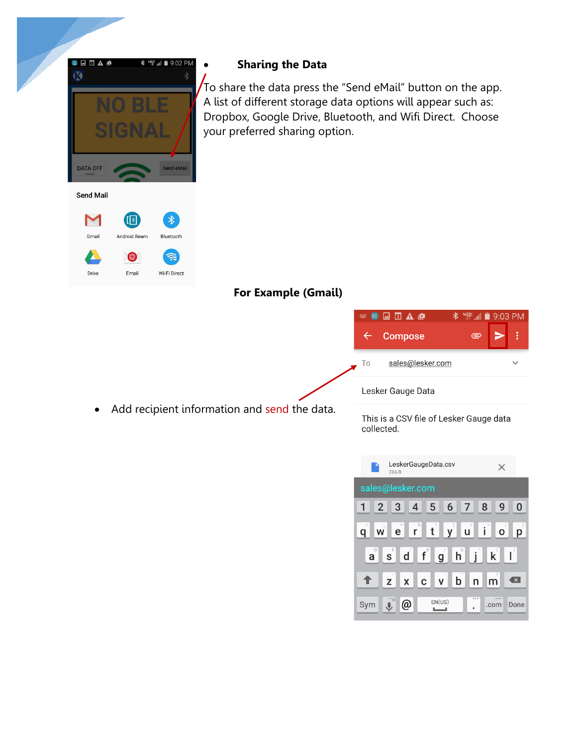

# • **Sharing the Data**

To share the data press the "Send eMail" button on the app. A list of different storage data options will appear such as: Dropbox, Google Drive, Bluetooth, and Wifi Direct. Choose your preferred sharing option.

# **For Example (Gmail)**



Lesker Gauge Data

• Add recipient information and send the data. This is a CSV file of Lesker Gauge data collected.

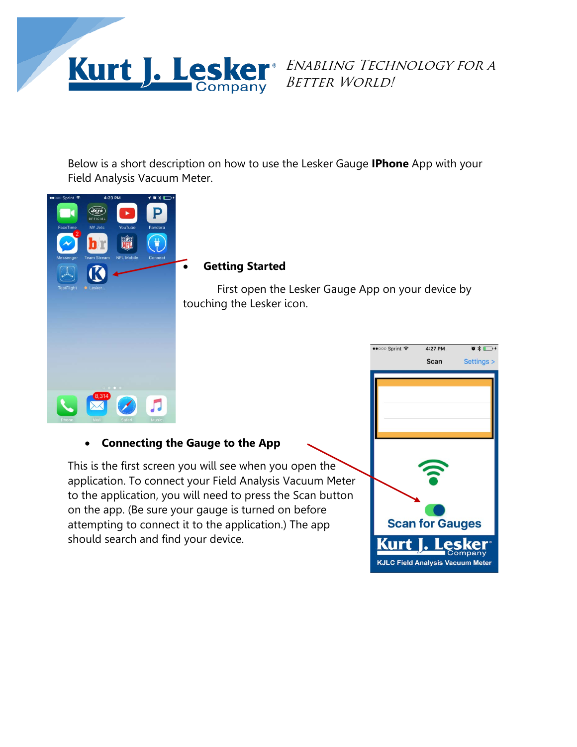

Below is a short description on how to use the Lesker Gauge **IPhone** App with your Field Analysis Vacuum Meter.



## • **Getting Started**

First open the Lesker Gauge App on your device by touching the Lesker icon.

# • **Connecting the Gauge to the App**

This is the first screen you will see when you open the application. To connect your Field Analysis Vacuum Meter to the application, you will need to press the Scan button on the app. (Be sure your gauge is turned on before attempting to connect it to the application.) The app should search and find your device.

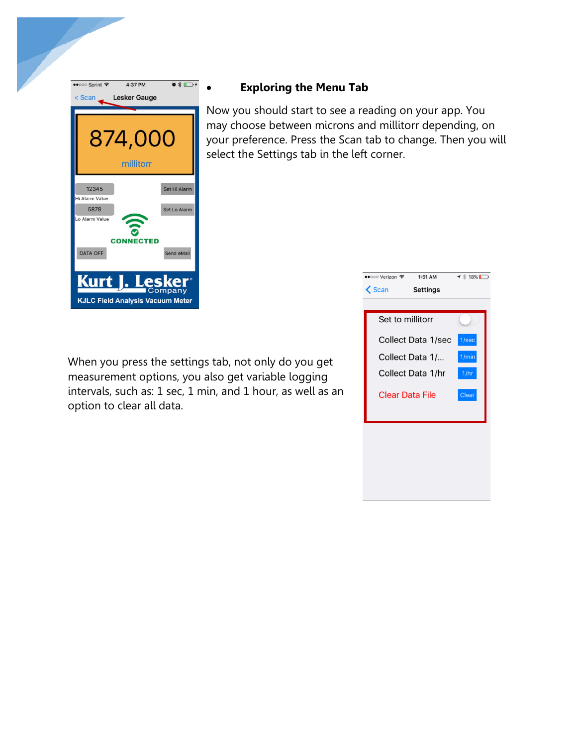

# • **Exploring the Menu Tab**

Now you should start to see a reading on your app. You may choose between microns and millitorr depending, on your preference. Press the Scan tab to change. Then you will select the Settings tab in the left corner.

When you press the settings tab, not only do you get measurement options, you also get variable logging intervals, such as: 1 sec, 1 min, and 1 hour, as well as an option to clear all data.

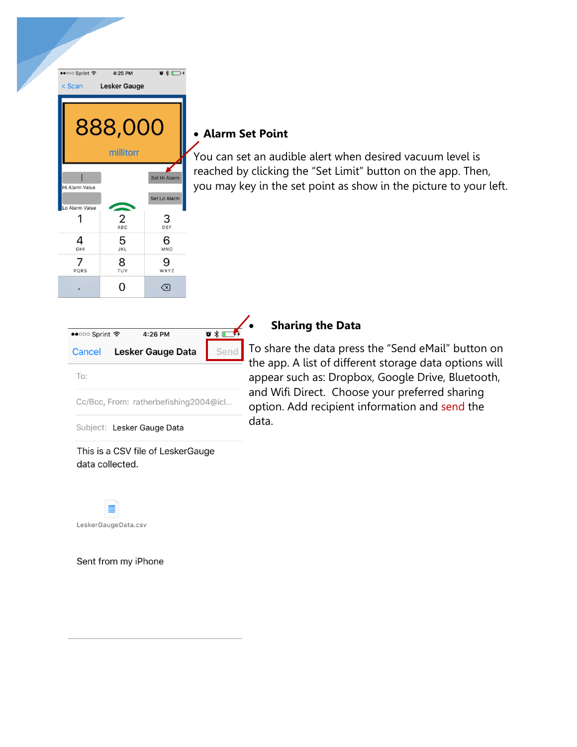

# • **Alarm Set Point**

You can set an audible alert when desired vacuum level is reached by clicking the "Set Limit" button on the app. Then, you may key in the set point as show in the picture to your left.

| $\bullet \bullet \circ \circ \circ$ Sprint $\widehat{\bullet}$ |  | 4:26 PM                    |  | ⊙ * |  |  |
|----------------------------------------------------------------|--|----------------------------|--|-----|--|--|
|                                                                |  | Cancel Lesker Gauge Data   |  | Sei |  |  |
| To:                                                            |  |                            |  |     |  |  |
| Cc/Bcc, From: ratherbefishing2004@icl                          |  |                            |  |     |  |  |
|                                                                |  | Subject: Lesker Gauge Data |  |     |  |  |

This is a CSV file of LeskerGauge data collected.



Sent from my iPhone

## • **Sharing the Data**

To share the data press the "Send eMail" button on the app. A list of different storage data options will appear such as: Dropbox, Google Drive, Bluetooth, and Wifi Direct. Choose your preferred sharing option. Add recipient information and send the data.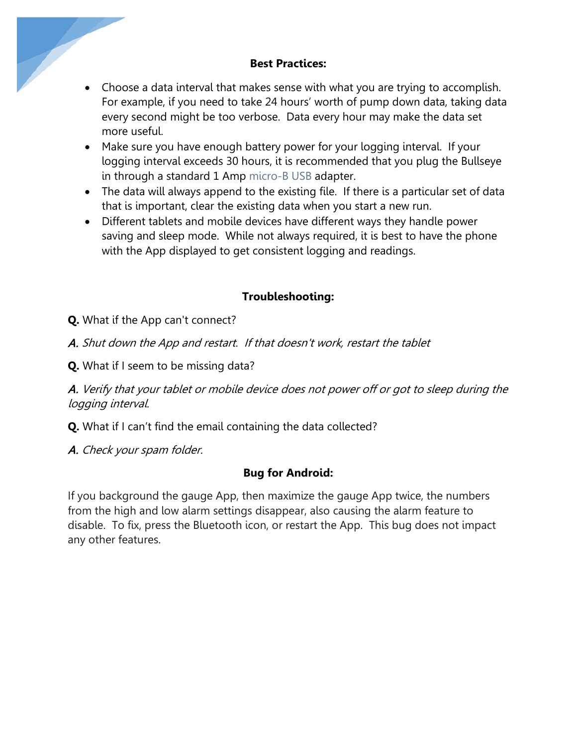## **Best Practices:**

- Choose a data interval that makes sense with what you are trying to accomplish. For example, if you need to take 24 hours' worth of pump down data, taking data every second might be too verbose. Data every hour may make the data set more useful.
- Make sure you have enough battery power for your logging interval. If your logging interval exceeds 30 hours, it is recommended that you plug the Bullseye in through a standard 1 Amp [micro-B](https://en.wikipedia.org/wiki/USB) USB adapter.
- The data will always append to the existing file. If there is a particular set of data that is important, clear the existing data when you start a new run.
- Different tablets and mobile devices have different ways they handle power saving and sleep mode. While not always required, it is best to have the phone with the App displayed to get consistent logging and readings.

# **Troubleshooting:**

- **Q.** What if the App can't connect?
- A. Shut down the App and restart. If that doesn't work, restart the tablet
- **Q.** What if I seem to be missing data?

A. Verify that your tablet or mobile device does not power off or got to sleep during the logging interval.

- **Q.** What if I can't find the email containing the data collected?
- A. Check your spam folder.

## **Bug for Android:**

If you background the gauge App, then maximize the gauge App twice, the numbers from the high and low alarm settings disappear, also causing the alarm feature to disable. To fix, press the Bluetooth icon, or restart the App. This bug does not impact any other features.